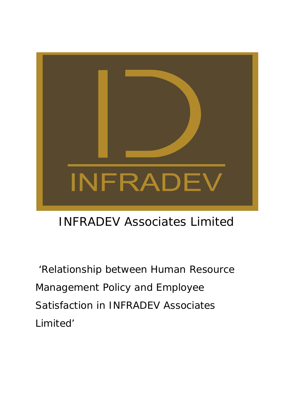

# INFRADEV Associates Limited

'Relationship between Human Resource Management Policy and Employee Satisfaction in INFRADEV Associates Limited'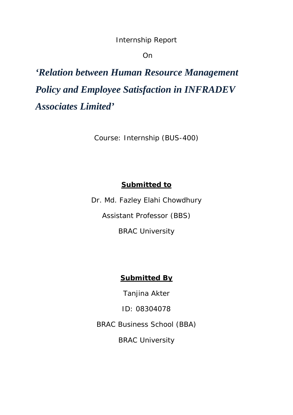Internship Report

On

*'Relation between Human Resource Management Policy and Employee Satisfaction in INFRADEV Associates Limited'*

Course: Internship (BUS-400)

## **Submitted to**

Dr. Md. Fazley Elahi Chowdhury Assistant Professor (BBS)

BRAC University

## **Submitted By**

Tanjina Akter

ID: 08304078

BRAC Business School (BBA)

BRAC University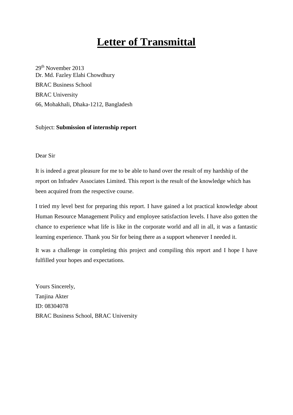## **Letter of Transmittal**

29<sup>th</sup> November 2013 Dr. Md. Fazley Elahi Chowdhury BRAC Business School BRAC University 66, Mohakhali, Dhaka-1212, Bangladesh

#### Subject: **Submission of internship report**

#### Dear Sir

It is indeed a great pleasure for me to be able to hand over the result of my hardship of the report on Infradev Associates Limited. This report is the result of the knowledge which has been acquired from the respective course.

I tried my level best for preparing this report. I have gained a lot practical knowledge about Human Resource Management Policy and employee satisfaction levels. I have also gotten the chance to experience what life is like in the corporate world and all in all, it was a fantastic learning experience. Thank you Sir for being there as a support whenever I needed it.

It was a challenge in completing this project and compiling this report and I hope I have fulfilled your hopes and expectations.

Yours Sincerely, Tanjina Akter ID: 08304078 BRAC Business School, BRAC University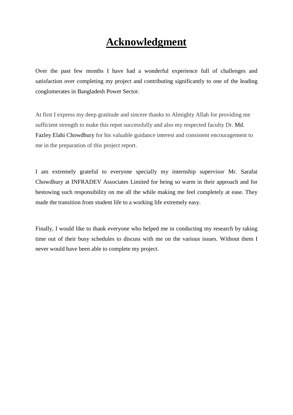## **Acknowledgment**

Over the past few months I have had a wonderful experience full of challenges and satisfaction over completing my project and contributing significantly to one of the leading conglomerates in Bangladesh Power Sector.

At first I express my deep gratitude and sincere thanks to Almighty Allah for providing me sufficient strength to make this repot successfully and also my respected faculty Dr. Md. Fazley Elahi Chowdhury for his valuable guidance interest and consistent encouragement to me in the preparation of this project report.

I am extremely grateful to everyone specially my internship supervisor Mr. Sarafat Chowdhury at INFRADEV Associates Limited for being so warm in their approach and for bestowing such responsibility on me all the while making me feel completely at ease. They made the transition from student life to a working life extremely easy.

Finally, I would like to thank everyone who helped me in conducting my research by taking time out of their busy schedules to discuss with me on the various issues. Without them I never would have been able to complete my project.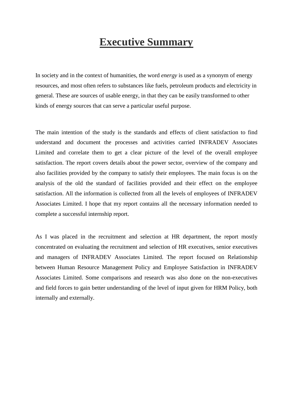## **Executive Summary**

In society and in the context of humanities, the word *energy* is used as a synonym of energy resources, and most often refers to substances like fuels, petroleum products and electricity in general. These are sources of usable energy, in that they can be easily transformed to other kinds of energy sources that can serve a particular useful purpose.

The main intention of the study is the standards and effects of client satisfaction to find understand and document the processes and activities carried INFRADEV Associates Limited and correlate them to get a clear picture of the level of the overall employee satisfaction. The report covers details about the power sector, overview of the company and also facilities provided by the company to satisfy their employees. The main focus is on the analysis of the old the standard of facilities provided and their effect on the employee satisfaction. All the information is collected from all the levels of employees of INFRADEV Associates Limited. I hope that my report contains all the necessary information needed to complete a successful internship report.

As I was placed in the recruitment and selection at HR department, the report mostly concentrated on evaluating the recruitment and selection of HR executives, senior executives and managers of INFRADEV Associates Limited. The report focused on Relationship between Human Resource Management Policy and Employee Satisfaction in INFRADEV Associates Limited. Some comparisons and research was also done on the non-executives and field forces to gain better understanding of the level of input given for HRM Policy, both internally and externally.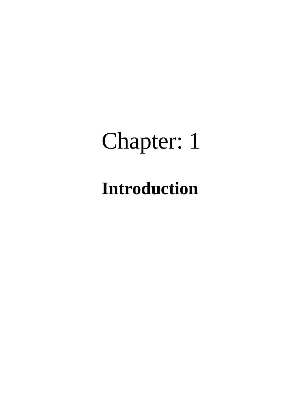# Chapter: 1

# **Introduction**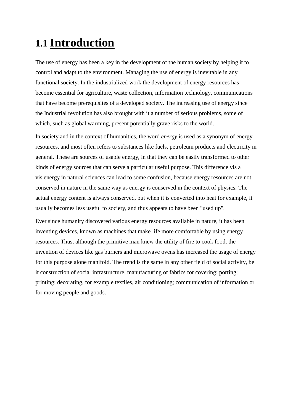# **1.1 Introduction**

The use of energy has been a key in the development of the human society by helping it to control and adapt to the environment. Managing the use of energy is inevitable in any functional society. In the industrialized work the development of energy resources has become essential for agriculture, waste collection, information technology, communications that have become prerequisites of a developed society. The increasing use of energy since the Industrial revolution has also brought with it a number of serious problems, some of which, such as global warming , present potentially grave risks to the world.

In society and in the context of humanities, the word *energy* is used as a synonym of energy resources, and most often refers to substances like fuels, petroleum products and electricity in general. These are sources of usable energy, in that they can be easily transformed to other kinds of energy sources that can serve a particular useful purpose. This difference vis a vis energy in natural sciences can lead to some confusion, because energy resources are not conserved in nature in the same way as energy is conserved in the context of physics. The actual energy content is always conserved, but when it is converted into heat for example, it usually becomes less useful to society, and thus appears to have been "used up".

Ever since humanity discovered various energy resources available in nature, it has been inventing devices, known as machines that make life more comfortable by using energy resources. Thus, although the primitive man knew the utility of fire to cook food, the invention of devices like gas burners and microwave ovens has increased the usage of energy for this purpose alone manifold. The trend is the same in any other field of social activity, be it construction of social infrastructure, manufacturing of fabrics for covering; porting; printing; decorating, for example textiles, air conditioning; communication of information or for moving people and goods.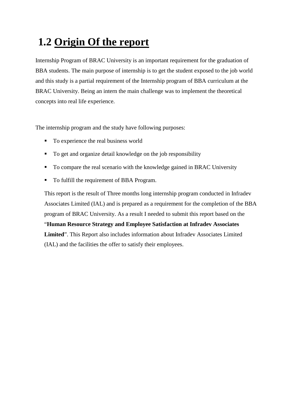# **1.2 Origin Of the report**

Internship Program of BRAC University is an important requirement for the graduation of BBA students. The main purpose of internship is to get the student exposed to the job world and this study is a partial requirement of the Internship program of BBA curriculum at the BRAC University. Being an intern the main challenge was to implement the theoretical concepts into real life experience.

The internship program and the study have following purposes:

- To experience the real business world
- To get and organize detail knowledge on the job responsibility
- To compare the real scenario with the knowledge gained in BRAC University
- To fulfill the requirement of BBA Program.

This report is the result of Three months long internship program conducted in Infradev Associates Limited (IAL) and is prepared as a requirement for the completion of the BBA program of BRAC University. As a result I needed to submit this report based on the "**Human Resource Strategy and Employee Satisfaction at Infradev Associates Limited**". This Report also includes information about Infradev Associates Limited (IAL) and the facilities the offer to satisfy their employees.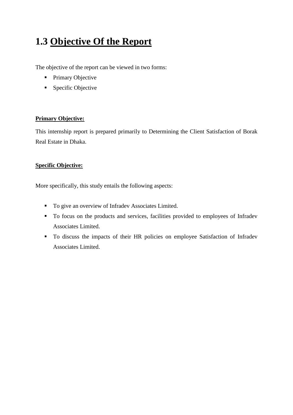## **1.3 Objective Of the Report**

The objective of the report can be viewed in two forms:

- Primary Objective
- **Specific Objective**

#### **Primary Objective:**

This internship report is prepared primarily to Determining the Client Satisfaction of Borak Real Estate in Dhaka.

#### **Specific Objective:**

More specifically, this study entails the following aspects:

- To give an overview of Infradev Associates Limited.
- To focus on the products and services, facilities provided to employees of Infradev Associates Limited.
- To discuss the impacts of their HR policies on employee Satisfaction of Infradev Associates Limited.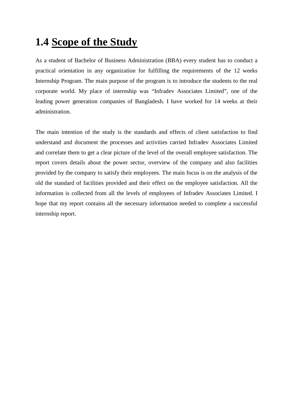## **1.4 Scope of the Study**

As a student of Bachelor of Business Administration (BBA) every student has to conduct a practical orientation in any organization for fulfilling the requirements of the 12 weeks Internship Program. The main purpose of the program is to introduce the students to the real corporate world. My place of internship was "Infradev Associates Limited", one of the leading power generation companies of Bangladesh. I have worked for 14 weeks at their administration.

The main intention of the study is the standards and effects of client satisfaction to find understand and document the processes and activities carried Infradev Associates Limited and correlate them to get a clear picture of the level of the overall employee satisfaction. The report covers details about the power sector, overview of the company and also facilities provided by the company to satisfy their employees. The main focus is on the analysis of the old the standard of facilities provided and their effect on the employee satisfaction. All the information is collected from all the levels of employees of Infradev Associates Limited. I hope that my report contains all the necessary information needed to complete a successful internship report.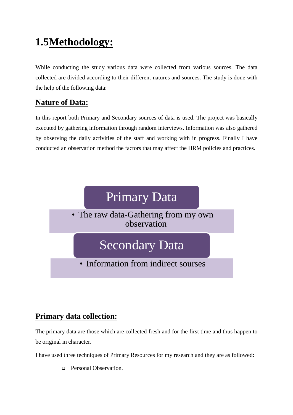# **1.5Methodology:**

While conducting the study various data were collected from various sources. The data collected are divided according to their different natures and sources. The study is done with the help of the following data:

## **Nature of Data:**

In this report both Primary and Secondary sources of data is used. The project was basically executed by gathering information through random interviews. Information was also gathered by observing the daily activities of the staff and working with in progress. Finally I have conducted an observation method the factors that may affect the HRM policies and practices.



## **Primary data collection:**

The primary data are those which are collected fresh and for the first time and thus happen to be original in character.

I have used three techniques of Primary Resources for my research and they are as followed:

□ Personal Observation.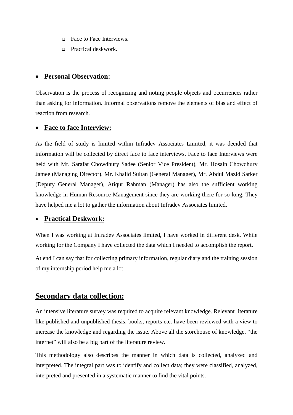- □ Face to Face Interviews.
- Practical deskwork*.*

#### • **Personal Observation:**

Observation is the process of recognizing and noting people objects and occurrences rather than asking for information. Informal observations remove the elements of bias and effect of reaction from research.

#### • **Face to face Interview:**

As the field of study is limited within Infradev Associates Limited, it was decided that information will be collected by direct face to face interviews. Face to face Interviews were held with Mr. Sarafat Chowdhury Sadee (Senior Vice President), Mr. Hosain Chowdhury Jamee (Managing Director). Mr. Khalid Sultan (General Manager), Mr. Abdul Mazid Sarker (Deputy General Manager), Atiqur Rahman (Manager) has also the sufficient working knowledge in Human Resource Management since they are working there for so long. They have helped me a lot to gather the information about Infradev Associates limited.

#### • **Practical Deskwork:**

When I was working at Infradev Associates limited, I have worked in different desk. While working for the Company I have collected the data which I needed to accomplish the report.

At end I can say that for collecting primary information, regular diary and the training session of my internship period help me a lot.

#### **Secondary data collection:**

An intensive literature survey was required to acquire relevant knowledge. Relevant literature like published and unpublished thesis, books, reports etc. have been reviewed with a view to increase the knowledge and regarding the issue. Above all the storehouse of knowledge, "the internet" will also be a big part of the literature review.

This methodology also describes the manner in which data is collected, analyzed and interpreted. The integral part was to identify and collect data; they were classified, analyzed, interpreted and presented in a systematic manner to find the vital points.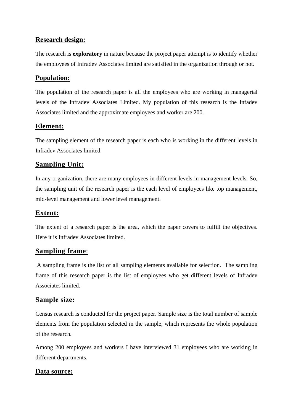#### **Research design:**

The research is **exploratory** in nature because the project paper attempt is to identify whether the employees of Infradev Associates limited are satisfied in the organization through or not.

#### **Population:**

The population of the research paper is all the employees who are working in managerial levels of the Infradev Associates Limited. My population of this research is the Infadev Associates limited and the approximate employees and worker are 200.

#### **Element:**

The sampling element of the research paper is each who is working in the different levels in Infradev Associates limited.

#### **Sampling Unit:**

In any organization, there are many employees in different levels in management levels. So, the sampling unit of the research paper is the each level of employees like top management, mid-level management and lower level management.

## **Extent:**

The extent of a research paper is the area, which the paper covers to fulfill the objectives. Here it is Infradev Associates limited.

#### **Sampling frame**:

A sampling frame is the list of all sampling elements available for selection. The sampling frame of this research paper is the list of employees who get different levels of Infradev Associates limited.

#### **Sample size:**

Census research is conducted for the project paper. Sample size is the total number of sample elements from the population selected in the sample, which represents the whole population of the research.

Among 200 employees and workers I have interviewed 31 employees who are working in different departments.

#### **Data source:**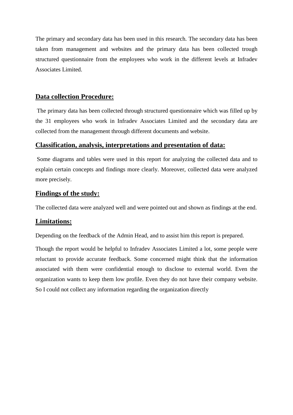The primary and secondary data has been used in this research. The secondary data has been taken from management and websites and the primary data has been collected trough structured questionnaire from the employees who work in the different levels at Infradev Associates Limited.

#### **Data collection Procedure:**

The primary data has been collected through structured questionnaire which was filled up by the 31 employees who work in Infradev Associates Limited and the secondary data are collected from the management through different documents and website.

#### **Classification, analysis, interpretations and presentation of data:**

Some diagrams and tables were used in this report for analyzing the collected data and to explain certain concepts and findings more clearly. Moreover, collected data were analyzed more precisely.

#### **Findings of the study:**

The collected data were analyzed well and were pointed out and shown as findings at the end.

#### **Limitations:**

Depending on the feedback of the Admin Head, and to assist him this report is prepared.

Though the report would be helpful to Infradev Associates Limited a lot, some people were reluctant to provide accurate feedback. Some concerned might think that the information associated with them were confidential enough to disclose to external world. Even the organization wants to keep them low profile. Even they do not have their company website. So I could not collect any information regarding the organization directly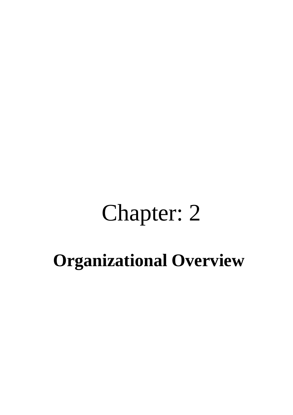# Chapter: 2

# **Organizational Overview**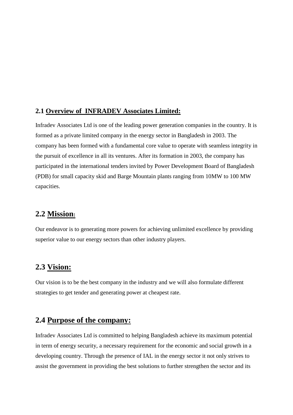#### **2.1 Overview of INFRADEV Associates Limited:**

Infradev Associates Ltd is one of the leading power generation companies in the country. It is formed as a private limited company in the energy sector in Bangladesh in 2003. The company has been formed with a fundamental core value to operate with seamless integrity in the pursuit of excellence in all its ventures. After its formation in 2003, the company has participated in the international tenders invited by Power Development Board of Bangladesh (PDB) for small capacity skid and Barge Mountain plants ranging from 10MW to 100 MW capacities.

#### **2.2 Mission:**

Our endeavor is to generating more powers for achieving unlimited excellence by providing superior value to our energy sectors than other industry players.

#### **2.3 Vision:**

Our vision is to be the best company in the industry and we will also formulate different strategies to get tender and generating power at cheapest rate.

## **2.4 Purpose of the company:**

Infradev Associates Ltd is committed to helping Bangladesh achieve its maximum potential in term of energy security, a necessary requirement for the economic and social growth in a developing country. Through the presence of IAL in the energy sector it not only strives to assist the government in providing the best solutions to further strengthen the sector and its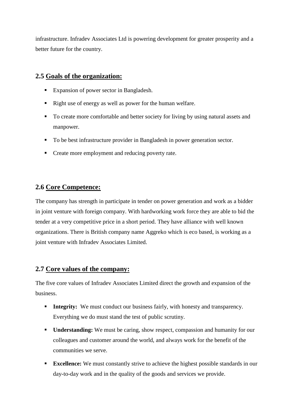infrastructure. Infradev Associates Ltd is powering development for greater prosperity and a better future for the country.

#### **2.5 Goals of the organization:**

- **Expansion of power sector in Bangladesh.**
- Right use of energy as well as power for the human welfare.
- To create more comfortable and better society for living by using natural assets and manpower.
- To be best infrastructure provider in Bangladesh in power generation sector.
- Create more employment and reducing poverty rate.

#### **2.6 Core Competence:**

The company has strength in participate in tender on power generation and work as a bidder in joint venture with foreign company. With hardworking work force they are able to bid the tender at a very competitive price in a short period. They have alliance with well known organizations. There is British company name Aggreko which is eco based, is working as a joint venture with Infradev Associates Limited.

#### **2.7 Core values of the company:**

The five core values of Infradev Associates Limited direct the growth and expansion of the business.

- **Integrity:** We must conduct our business fairly, with honesty and transparency. Everything we do must stand the test of public scrutiny.
- **Understanding:** We must be caring, show respect, compassion and humanity for our colleagues and customer around the world, and always work for the benefit of the communities we serve.
- **Excellence:** We must constantly strive to achieve the highest possible standards in our day-to-day work and in the quality of the goods and services we provide.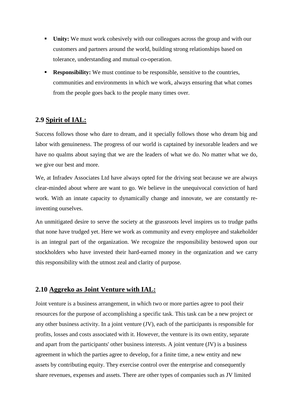- **Unity:** We must work cohesively with our colleagues across the group and with our customers and partners around the world, building strong relationships based on tolerance, understanding and mutual co-operation.
- **Responsibility:** We must continue to be responsible, sensitive to the countries, communities and environments in which we work, always ensuring that what comes from the people goes back to the people many times over.

#### **2.9 Spirit of IAL:**

Success follows those who dare to dream, and it specially follows those who dream big and labor with genuineness. The progress of our world is captained by inexorable leaders and we have no qualms about saying that we are the leaders of what we do. No matter what we do, we give our best and more.

We, at Infradev Associates Ltd have always opted for the driving seat because we are always clear-minded about where are want to go. We believe in the unequivocal conviction of hard work. With an innate capacity to dynamically change and innovate, we are constantly reinventing ourselves.

An unmitigated desire to serve the society at the grassroots level inspires us to trudge paths that none have trudged yet. Here we work as community and every employee and stakeholder is an integral part of the organization. We recognize the responsibility bestowed upon our stockholders who have invested their hard-earned money in the organization and we carry this responsibility with the utmost zeal and clarity of purpose.

#### **2.10 Aggreko as Joint Venture with IAL:**

Joint venture is a business arrangement, in which two or more parties agree to pool their resources for the purpose of accomplishing a specific task. This task can be a new project or any other business activity. In a joint venture (JV), each of the participants is responsible for profits, losses and costs associated with it. However, the venture is its own entity, separate and apart from the participants' other business interests. A joint venture (JV) is a business agreement in which the parties agree to develop, for a finite time, a new entity and new assets by contributing equity. They exercise control over the enterprise and consequently share revenues, expenses and assets. There are other types of companies such as JV limited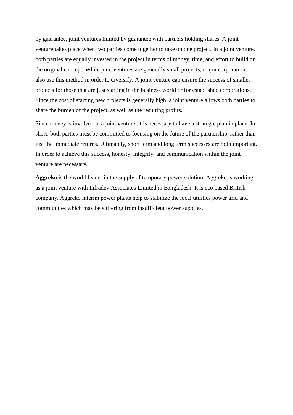by guarantee, joint ventures limited by guarantee with partners holding shares. A joint venture takes place when two parties come together to take on one project. In a joint venture, both parties are equally invested in the project in terms of money, time, and effort to build on the original concept. While joint ventures are generally small projects, major corporations also use this method in order to diversify. A joint venture can ensure the success of smaller projects for those that are just starting in the business world or for established corporations. Since the cost of starting new projects is generally high, a joint venture allows both parties to share the burden of the project, as well as the resulting profits.

Since money is involved in a joint venture, it is necessary to have a strategic plan in place. In short, both parties must be committed to focusing on the future of the partnership, rather than just the immediate returns. Ultimately, short term and long term successes are both important. In order to achieve this success, honesty, integrity, and communication within the joint venture are necessary.

**Aggreko** is the world leader in the supply of temporary power solution. Aggreko is working as a joint venture with Infradev Associates Limited in Bangladesh. It is eco based British company. Aggreko interim power plants help to stabilize the local utilities power grid and communities which may be suffering from insufficient power supplies.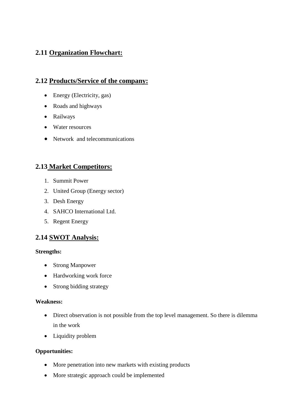## **2.11 Organization Flowchart:**

#### **2.12 Products/Service of the company:**

- Energy (Electricity, gas)
- Roads and highways
- Railways
- Water resources
- Network and telecommunications

#### **2.13 Market Competitors:**

- 1. Summit Power
- 2. United Group (Energy sector)
- 3. Desh Energy
- 4. SAHCO International Ltd.
- 5. Regent Energy

#### **2.14 SWOT Analysis:**

#### **Strengths:**

- Strong Manpower
- Hardworking work force
- Strong bidding strategy

#### **Weakness:**

- Direct observation is not possible from the top level management. So there is dilemma in the work
- Liquidity problem

#### **Opportunities:**

- More penetration into new markets with existing products
- More strategic approach could be implemented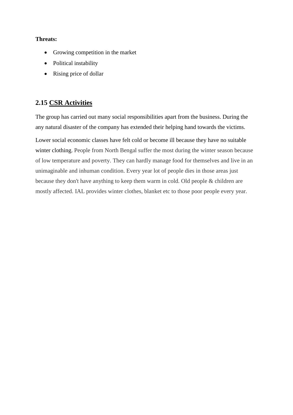#### **Threats:**

- Growing competition in the market
- Political instability
- Rising price of dollar

## **2.15 CSR Activities**

The group has carried out many social responsibilities apart from the business. During the any natural disaster of the company has extended their helping hand towards the victims.

Lower social economic classes have felt cold or become ill because they have no suitable winter clothing. People from North Bengal suffer the most during the winter season because of low temperature and poverty. They can hardly manage food for themselves and live in an unimaginable and inhuman condition. Every year lot of people dies in those areas just because they don't have anything to keep them warm in cold. Old people & children are mostly affected. IAL provides winter clothes, blanket etc to those poor people every year.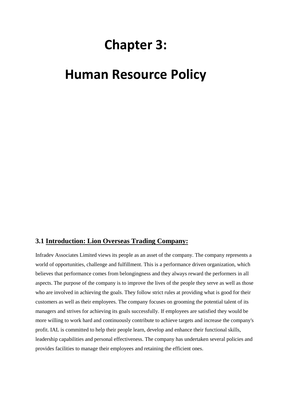# **Chapter 3:**

## **Human Resource Policy**

#### **3.1 Introduction: Lion Overseas Trading Company:**

Infradev Associates Limited views its people as an asset of the company. The company represents a world of opportunities, challenge and fulfillment. This is a performance driven organization, which believes that performance comes from belongingness and they always reward the performers in all aspects. The purpose of the company is to improve the lives of the people they serve as well as those who are involved in achieving the goals. They follow strict rules at providing what is good for their customers as well as their employees. The company focuses on grooming the potential talent of its managers and strives for achieving its goals successfully. If employees are satisfied they would be more willing to work hard and continuously contribute to achieve targets and increase the company's profit. IAL is committed to help their people learn, develop and enhance their functional skills, leadership capabilities and personal effectiveness. The company has undertaken several policies and provides facilities to manage their employees and retaining the efficient ones.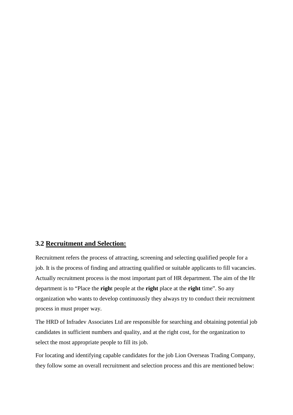#### **3.2 Recruitment and Selection:**

Recruitment refers the process of attracting, screening and selecting qualified people for a job. It is the process of finding and attracting qualified or suitable applicants to fill vacancies. Actually recruitment process is the most important part of HR department. The aim of the Hr department is to "Place the **righ**t people at the **right** place at the **right** time". So any organization who wants to develop continuously they always try to conduct their recruitment process in must proper way.

The HRD of Infradev Associates Ltd are responsible for searching and obtaining potential job candidates in sufficient numbers and quality, and at the right cost, for the organization to select the most appropriate people to fill its job.

For locating and identifying capable candidates for the job Lion Overseas Trading Company, they follow some an overall recruitment and selection process and this are mentioned below: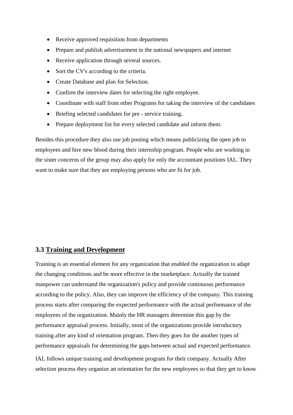- Receive approved requisition from departments
- Prepare and publish advertisement in the national newspapers and internet
- Receive application through several sources.
- Sort the CV's according to the criteria.
- Create Database and plan for Selection.
- Confirm the interview dates for selecting the right employee.
- Coordinate with staff from other Programs for taking the interview of the candidates
- Briefing selected candidates for pre service training.
- Prepare deployment list for every selected candidate and inform them.

Besides this procedure they also use job posting which means publicizing the open job to employees and hire new blood during their internship program. People who are working in the sister concerns of the group may also apply for only the accountant positions IAL. They want to make sure that they are employing persons who are fit for job.

#### **3.3 Training and Development**

Training is an essential element for any organization that enabled the organization to adapt the changing conditions and be more effective in the marketplace. Actually the trained manpower can understand the organization's policy and provide continuous performance according to the policy. Also, they can improve the efficiency of the company. This training process starts after comparing the expected performance with the actual performance of the employees of the organization. Mainly the HR managers determine this gap by the performance appraisal process. Initially, most of the organizations provide introductory training after any kind of orientation program. Then they goes for the another types of performance appraisals for determining the gaps between actual and expected performance.

IAL follows unique training and development program for their company. Actually After selection process they organize an orientation for the new employees so that they get to know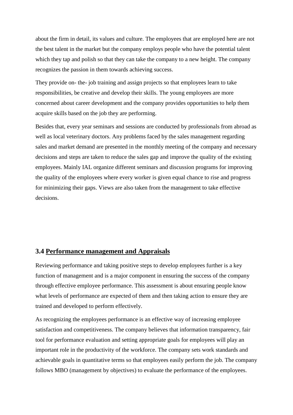about the firm in detail, its values and culture. The employees that are employed here are not the best talent in the market but the company employs people who have the potential talent which they tap and polish so that they can take the company to a new height. The company recognizes the passion in them towards achieving success.

They provide on- the- job training and assign projects so that employees learn to take responsibilities, be creative and develop their skills. The young employees are more concerned about career development and the company provides opportunities to help them acquire skills based on the job they are performing.

Besides that, every year seminars and sessions are conducted by professionals from abroad as well as local veterinary doctors. Any problems faced by the sales management regarding sales and market demand are presented in the monthly meeting of the company and necessary decisions and steps are taken to reduce the sales gap and improve the quality of the existing employees. Mainly IAL organize different seminars and discussion programs for improving the quality of the employees where every worker is given equal chance to rise and progress for minimizing their gaps. Views are also taken from the management to take effective decisions.

#### **3.4 Performance management and Appraisals**

Reviewing performance and taking positive steps to develop employees further is a key function of management and is a major component in ensuring the success of the company through effective employee performance. This assessment is about ensuring people know what levels of performance are expected of them and then taking action to ensure they are trained and developed to perform effectively.

As recognizing the employees performance is an effective way of increasing employee satisfaction and competitiveness. The company believes that information transparency, fair tool for performance evaluation and setting appropriate goals for employees will play an important role in the productivity of the workforce. The company sets work standards and achievable goals in quantitative terms so that employees easily perform the job. The company follows MBO (management by objectives) to evaluate the performance of the employees.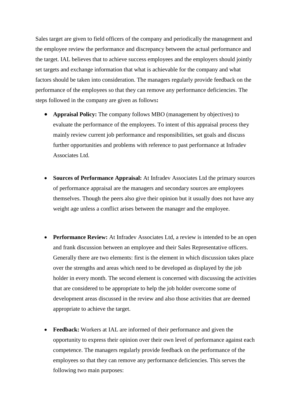Sales target are given to field officers of the company and periodically the management and the employee review the performance and discrepancy between the actual performance and the target. IAL believes that to achieve success employees and the employers should jointly set targets and exchange information that what is achievable for the company and what factors should be taken into consideration. The managers regularly provide feedback on the performance of the employees so that they can remove any performance deficiencies. The steps followed in the company are given as follows**:**

- **Appraisal Policy:** The company follows MBO (management by objectives) to evaluate the performance of the employees. To intent of this appraisal process they mainly review current job performance and responsibilities, set goals and discuss further opportunities and problems with reference to past performance at Infradev Associates Ltd.
- **Sources of Performance Appraisal:** At Infradev Associates Ltd the primary sources of performance appraisal are the managers and secondary sources are employees themselves. Though the peers also give their opinion but it usually does not have any weight age unless a conflict arises between the manager and the employee.
- **Performance Review:** At Infradev Associates Ltd, a review is intended to be an open and frank discussion between an employee and their Sales Representative officers. Generally there are two elements: first is the element in which discussion takes place over the strengths and areas which need to be developed as displayed by the job holder in every month. The second element is concerned with discussing the activities that are considered to be appropriate to help the job holder overcome some of development areas discussed in the review and also those activities that are deemed appropriate to achieve the target.
- **Feedback:** Workers at IAL are informed of their performance and given the opportunity to express their opinion over their own level of performance against each competence. The managers regularly provide feedback on the performance of the employees so that they can remove any performance deficiencies. This serves the following two main purposes: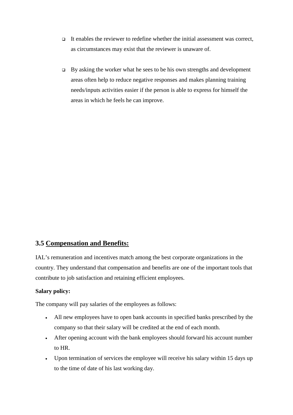- It enables the reviewer to redefine whether the initial assessment was correct, as circumstances may exist that the reviewer is unaware of.
- $\Box$  By asking the worker what he sees to be his own strengths and development areas often help to reduce negative responses and makes planning training needs/inputs activities easier if the person is able to express for himself the areas in which he feels he can improve.

#### **3.5 Compensation and Benefits:**

IAL's remuneration and incentives match among the best corporate organizations in the country. They understand that compensation and benefits are one of the important tools that contribute to job satisfaction and retaining efficient employees.

#### **Salary policy:**

The company will pay salaries of the employees as follows:

- All new employees have to open bank accounts in specified banks prescribed by the company so that their salary will be credited at the end of each month.
- After opening account with the bank employees should forward his account number to HR.
- Upon termination of services the employee will receive his salary within 15 days up to the time of date of his last working day.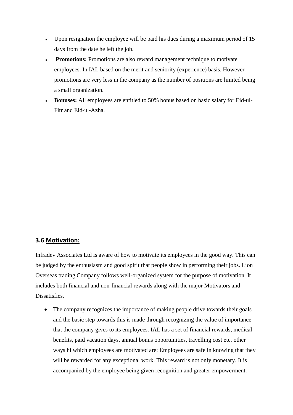- Upon resignation the employee will be paid his dues during a maximum period of 15 days from the date he left the job.
- **Promotions:** Promotions are also reward management technique to motivate employees. In IAL based on the merit and seniority (experience) basis. However promotions are very less in the company as the number of positions are limited being a small organization.
- **Bonuses:** All employees are entitled to 50% bonus based on basic salary for Eid-ul-Fitr and Eid-ul-Azha.

#### **3.6 Motivation:**

Infradev Associates Ltd is aware of how to motivate its employees in the good way. This can be judged by the enthusiasm and good spirit that people show in performing their jobs. Lion Overseas trading Company follows well-organized system for the purpose of motivation. It includes both financial and non-financial rewards along with the major Motivators and Dissatisfies.

• The company recognizes the importance of making people drive towards their goals and the basic step towards this is made through recognizing the value of importance that the company gives to its employees. IAL has a set of financial rewards, medical benefits, paid vacation days, annual bonus opportunities, travelling cost etc. other ways hi which employees are motivated are: Employees are safe in knowing that they will be rewarded for any exceptional work. This reward is not only monetary. It is accompanied by the employee being given recognition and greater empowerment.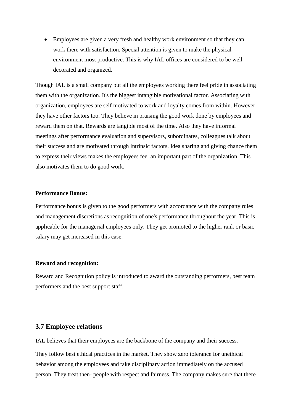• Employees are given a very fresh and healthy work environment so that they can work there with satisfaction. Special attention is given to make the physical environment most productive. This is why IAL offices are considered to be well decorated and organized.

Though IAL is a small company but all the employees working there feel pride in associating them with the organization. It's the biggest intangible motivational factor. Associating with organization, employees are self motivated to work and loyalty comes from within. However they have other factors too. They believe in praising the good work done by employees and reward them on that. Rewards are tangible most of the time. Also they have informal meetings after performance evaluation and supervisors, subordinates, colleagues talk about their success and are motivated through intrinsic factors. Idea sharing and giving chance them to express their views makes the employees feel an important part of the organization. This also motivates them to do good work.

#### **Performance Bonus:**

Performance bonus is given to the good performers with accordance with the company rules and management discretions as recognition of one's performance throughout the year. This is applicable for the managerial employees only. They get promoted to the higher rank or basic salary may get increased in this case.

#### **Reward and recognition:**

Reward and Recognition policy is introduced to award the outstanding performers, best team performers and the best support staff.

#### **3.7 Employee relations**

IAL believes that their employees are the backbone of the company and their success.

They follow best ethical practices in the market. They show zero tolerance for unethical behavior among the employees and take disciplinary action immediately on the accused person. They treat then- people with respect and fairness. The company makes sure that there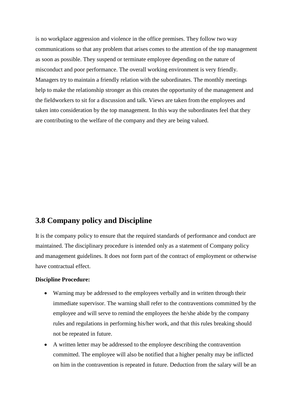is no workplace aggression and violence in the office premises. They follow two way communications so that any problem that arises comes to the attention of the top management as soon as possible. They suspend or terminate employee depending on the nature of misconduct and poor performance. The overall working environment is very friendly. Managers try to maintain a friendly relation with the subordinates. The monthly meetings help to make the relationship stronger as this creates the opportunity of the management and the fieldworkers to sit for a discussion and talk. Views are taken from the employees and taken into consideration by the top management. In this way the subordinates feel that they are contributing to the welfare of the company and they are being valued.

## **3.8 Company policy and Discipline**

It is the company policy to ensure that the required standards of performance and conduct are maintained. The disciplinary procedure is intended only as a statement of Company policy and management guidelines. It does not form part of the contract of employment or otherwise have contractual effect.

#### **Discipline Procedure:**

- Warning may be addressed to the employees verbally and in written through their immediate supervisor. The warning shall refer to the contraventions committed by the employee and will serve to remind the employees the he/she abide by the company rules and regulations in performing his/her work, and that this rules breaking should not be repeated in future.
- A written letter may be addressed to the employee describing the contravention committed. The employee will also be notified that a higher penalty may be inflicted on him in the contravention is repeated in future. Deduction from the salary will be an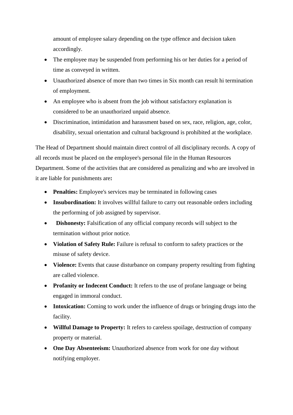amount of employee salary depending on the type offence and decision taken accordingly.

- The employee may be suspended from performing his or her duties for a period of time as conveyed in written.
- Unauthorized absence of more than two times in Six month can result hi termination of employment.
- An employee who is absent from the job without satisfactory explanation is considered to be an unauthorized unpaid absence.
- Discrimination, intimidation and harassment based on sex, race, religion, age, color, disability, sexual orientation and cultural background is prohibited at the workplace.

The Head of Department should maintain direct control of all disciplinary records. A copy of all records must be placed on the employee's personal file in the Human Resources Department. Some of the activities that are considered as penalizing and who are involved in it are liable for punishments are**:**

- **Penalties:** Employee's services may be terminated in following cases
- **Insubordination:** It involves willful failure to carry out reasonable orders including the performing of job assigned by supervisor.
- **Dishonesty:** Falsification of any official company records will subject to the termination without prior notice.
- **Violation of Safety Rule:** Failure is refusal to conform to safety practices or the misuse of safety device.
- **Violence:** Events that cause disturbance on company property resulting from fighting are called violence.
- **Profanity or Indecent Conduct:** It refers to the use of profane language or being engaged in immoral conduct.
- **Intoxication:** Coming to work under the influence of drugs or bringing drugs into the facility.
- **Willful Damage to Property:** It refers to careless spoilage, destruction of company property or material.
- **One Day Absenteeism:** Unauthorized absence from work for one day without notifying employer.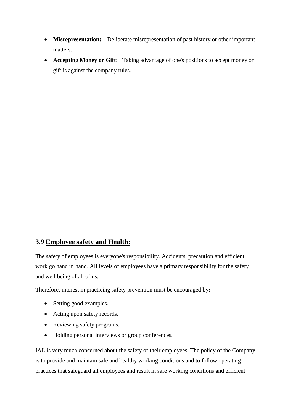- **Misrepresentation:** Deliberate misrepresentation of past history or other important matters.
- **Accepting Money or Gift:** Taking advantage of one's positions to accept money or gift is against the company rules.

#### **3.9 Employee safety and Health:**

The safety of employees is everyone's responsibility. Accidents, precaution and efficient work go hand in hand. All levels of employees have a primary responsibility for the safety and well being of all of us.

Therefore, interest in practicing safety prevention must be encouraged by**:**

- Setting good examples.
- Acting upon safety records.
- Reviewing safety programs.
- Holding personal interviews or group conferences.

IAL is very much concerned about the safety of their employees. The policy of the Company is to provide and maintain safe and healthy working conditions and to follow operating practices that safeguard all employees and result in safe working conditions and efficient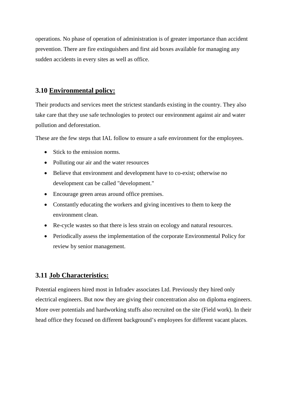operations. No phase of operation of administration is of greater importance than accident prevention. There are fire extinguishers and first aid boxes available for managing any sudden accidents in every sites as well as office.

#### **3.10 Environmental policy:**

Their products and services meet the strictest standards existing in the country. They also take care that they use safe technologies to protect our environment against air and water pollution and deforestation.

These are the few steps that IAL follow to ensure a safe environment for the employees.

- Stick to the emission norms.
- Polluting our air and the water resources
- Believe that environment and development have to co-exist; otherwise no development can be called "development."
- Encourage green areas around office premises.
- Constantly educating the workers and giving incentives to them to keep the environment clean.
- Re-cycle wastes so that there is less strain on ecology and natural resources.
- Periodically assess the implementation of the corporate Environmental Policy for review by senior management.

#### **3.11 Job Characteristics:**

Potential engineers hired most in Infradev associates Ltd. Previously they hired only electrical engineers. But now they are giving their concentration also on diploma engineers. More over potentials and hardworking stuffs also recruited on the site (Field work). In their head office they focused on different background's employees for different vacant places.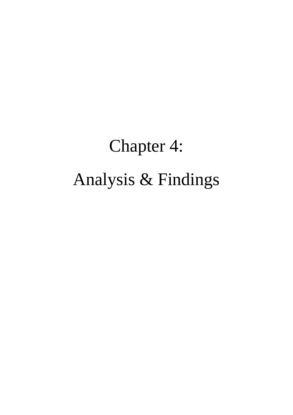# Chapter 4: Analysis & Findings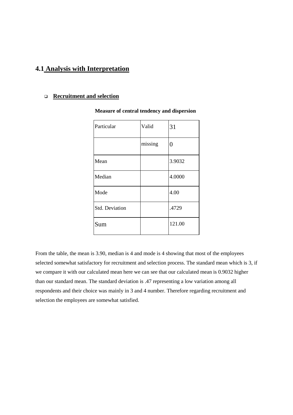#### **4.1 Analysis with Interpretation**

#### **Recruitment and selection**

| Particular     | Valid   | 31             |
|----------------|---------|----------------|
|                | missing | $\overline{0}$ |
| Mean           |         | 3.9032         |
| Median         |         | 4.0000         |
| Mode           |         | 4.00           |
| Std. Deviation |         | .4729          |
| Sum            |         | 121.00         |

#### **Measure of central tendency and dispersion**

From the table, the mean is 3.90, median is 4 and mode is 4 showing that most of the employees selected somewhat satisfactory for recruitment and selection process. The standard mean which is 3, if we compare it with our calculated mean here we can see that our calculated mean is 0.9032 higher than our standard mean. The standard deviation is .47 representing a low variation among all respondents and their choice was mainly in 3 and 4 number. Therefore regarding recruitment and selection the employees are somewhat satisfied.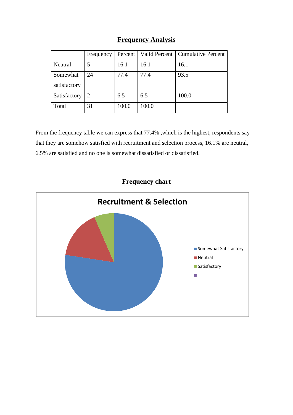## **Frequency Analysis**

|              | Frequency | Percent |       | Valid Percent   Cumulative Percent |
|--------------|-----------|---------|-------|------------------------------------|
| Neutral      |           | 16.1    | 16.1  | 16.1                               |
| Somewhat     | 24        | 77.4    | 77.4  | 93.5                               |
| satisfactory |           |         |       |                                    |
| Satisfactory | 2         | 6.5     | 6.5   | 100.0                              |
| Total        | 31        | 100.0   | 100.0 |                                    |

From the frequency table we can express that 77.4% ,which is the highest, respondents say that they are somehow satisfied with recruitment and selection process, 16.1% are neutral, 6.5% are satisfied and no one is somewhat dissatisfied or dissatisfied.

## **Frequency chart**

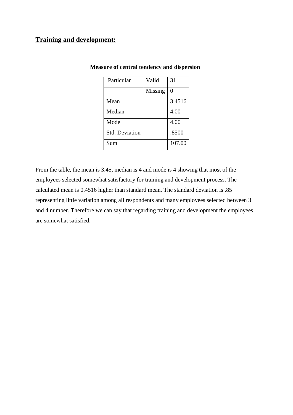#### **Training and development:**

| Particular            | Valid   | 31       |
|-----------------------|---------|----------|
|                       | Missing | $\theta$ |
| Mean                  |         | 3.4516   |
| Median                |         | 4.00     |
| Mode                  |         | 4.00     |
| <b>Std. Deviation</b> |         | .8500    |
| Sum                   |         | 107.00   |

#### **Measure of central tendency and dispersion**

From the table, the mean is 3.45, median is 4 and mode is 4 showing that most of the employees selected somewhat satisfactory for training and development process. The calculated mean is 0.4516 higher than standard mean. The standard deviation is .85 representing little variation among all respondents and many employees selected between 3 and 4 number. Therefore we can say that regarding training and development the employees are somewhat satisfied.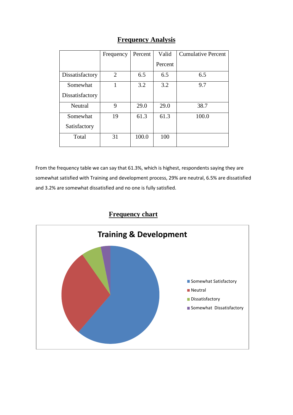|                 | Frequency      | Percent | Valid   | <b>Cumulative Percent</b> |
|-----------------|----------------|---------|---------|---------------------------|
|                 |                |         | Percent |                           |
| Dissatisfactory | $\overline{2}$ | 6.5     | 6.5     | 6.5                       |
| Somewhat        | 1              | 3.2     | 3.2     | 9.7                       |
| Dissatisfactory |                |         |         |                           |
| Neutral         | 9              | 29.0    | 29.0    | 38.7                      |
| Somewhat        | 19             | 61.3    | 61.3    | 100.0                     |
| Satisfactory    |                |         |         |                           |
| Total           | 31             | 100.0   | 100     |                           |

## **Frequency Analysis**

From the frequency table we can say that 61.3%, which is highest, respondents saying they are somewhat satisfied with Training and development process, 29% are neutral, 6.5% are dissatisfied and 3.2% are somewhat dissatisfied and no one is fully satisfied.

# **Frequency chart**

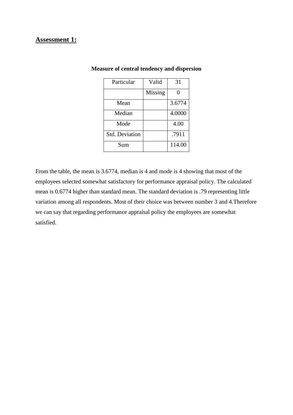#### **Assessment 1:**

| Particular     | Valid   | 31           |
|----------------|---------|--------------|
|                | Missing | $\mathbf{0}$ |
| Mean           |         | 3.6774       |
| Median         |         | 4.0000       |
| Mode           |         | 4.00         |
| Std. Deviation |         | .7911        |
| Sum            |         | 114.00       |

#### **Measure of central tendency and dispersion**

From the table, the mean is 3.6774, median is 4 and mode is 4 showing that most of the employees selected somewhat satisfactory for performance appraisal policy. The calculated mean is 0.6774 higher than standard mean. The standard deviation is .79 representing little variation among all respondents. Most of their choice was between number 3 and 4.Therefore we can say that regarding performance appraisal policy the employees are somewhat satisfied.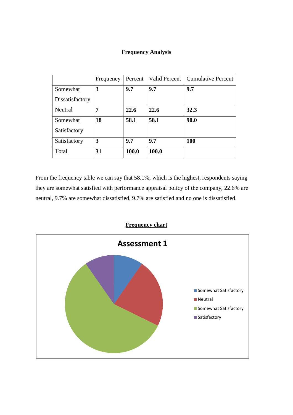#### **Frequency Analysis**

|                 | Frequency | Percent | Valid Percent | <b>Cumulative Percent</b> |
|-----------------|-----------|---------|---------------|---------------------------|
| Somewhat        | 3         | 9.7     | 9.7           | 9.7                       |
| Dissatisfactory |           |         |               |                           |
| Neutral         | 7         | 22.6    | 22.6          | 32.3                      |
| Somewhat        | 18        | 58.1    | 58.1          | 90.0                      |
| Satisfactory    |           |         |               |                           |
| Satisfactory    | 3         | 9.7     | 9.7           | 100                       |
| Total           | 31        | 100.0   | 100.0         |                           |

From the frequency table we can say that 58.1%, which is the highest, respondents saying they are somewhat satisfied with performance appraisal policy of the company, 22.6% are neutral, 9.7% are somewhat dissatisfied, 9.7% are satisfied and no one is dissatisfied.

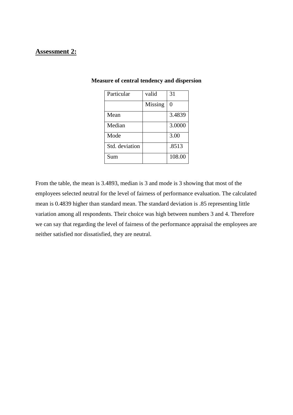#### **Assessment 2:**

| Particular     | valid   | 31     |
|----------------|---------|--------|
|                | Missing | 0      |
| Mean           |         | 3.4839 |
| Median         |         | 3.0000 |
| Mode           |         | 3.00   |
| Std. deviation |         | .8513  |
| Sum            |         | 108.00 |

#### **Measure of central tendency and dispersion**

From the table, the mean is 3.4893, median is 3 and mode is 3 showing that most of the employees selected neutral for the level of fairness of performance evaluation. The calculated mean is 0.4839 higher than standard mean. The standard deviation is .85 representing little variation among all respondents. Their choice was high between numbers 3 and 4. Therefore we can say that regarding the level of fairness of the performance appraisal the employees are neither satisfied nor dissatisfied, they are neutral.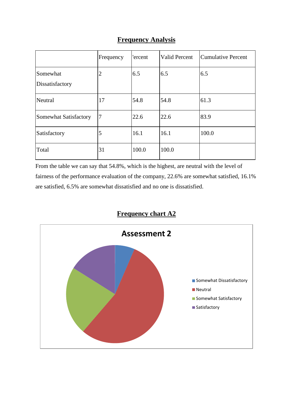| <b>Frequency Analysis</b> |  |
|---------------------------|--|
|---------------------------|--|

|                             | Frequency | 'ercent | <b>Valid Percent</b> | <b>Cumulative Percent</b> |
|-----------------------------|-----------|---------|----------------------|---------------------------|
| Somewhat<br>Dissatisfactory | 2         | 6.5     | 6.5                  | 6.5                       |
| Neutral                     | 17        | 54.8    | 54.8                 | 61.3                      |
| Somewhat Satisfactory       | 7         | 22.6    | 22.6                 | 83.9                      |
| Satisfactory                | 5         | 16.1    | 16.1                 | 100.0                     |
| Total                       | 31        | 100.0   | 100.0                |                           |

From the table we can say that 54.8%, which is the highest, are neutral with the level of fairness of the performance evaluation of the company, 22.6% are somewhat satisfied, 16.1% are satisfied, 6.5% are somewhat dissatisfied and no one is dissatisfied.



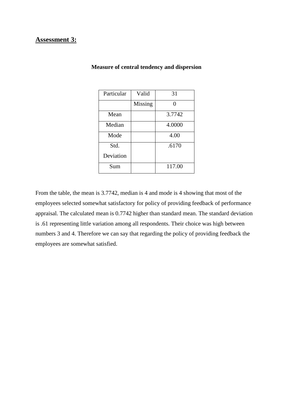#### **Assessment 3:**

| Particular | Valid   | 31     |
|------------|---------|--------|
|            | Missing |        |
| Mean       |         | 3.7742 |
| Median     |         | 4.0000 |
| Mode       |         | 4.00   |
| Std.       |         | .6170  |
| Deviation  |         |        |
| Sum        |         | 117.00 |

#### **Measure of central tendency and dispersion**

From the table, the mean is 3.7742, median is 4 and mode is 4 showing that most of the employees selected somewhat satisfactory for policy of providing feedback of performance appraisal. The calculated mean is 0.7742 higher than standard mean. The standard deviation is .61 representing little variation among all respondents. Their choice was high between numbers 3 and 4. Therefore we can say that regarding the policy of providing feedback the employees are somewhat satisfied.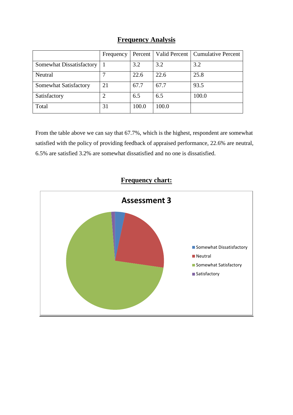## **Frequency Analysis**

|                          | Frequency | Percent |       | Valid Percent   Cumulative Percent |
|--------------------------|-----------|---------|-------|------------------------------------|
| Somewhat Dissatisfactory |           | 3.2     | 3.2   | 3.2                                |
| Neutral                  |           | 22.6    | 22.6  | 25.8                               |
| Somewhat Satisfactory    | 21        | 67.7    | 67.7  | 93.5                               |
| Satisfactory             |           | 6.5     | 6.5   | 100.0                              |
| Total                    | 31        | 100.0   | 100.0 |                                    |

From the table above we can say that 67.7%, which is the highest, respondent are somewhat satisfied with the policy of providing feedback of appraised performance, 22.6% are neutral, 6.5% are satisfied 3.2% are somewhat dissatisfied and no one is dissatisfied.



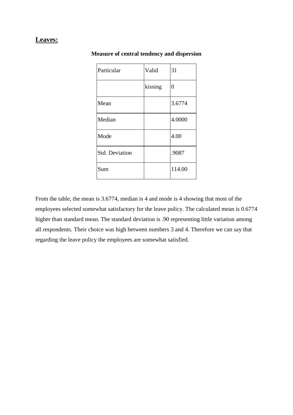# **Leaves:**

| Particular            | Valid   | 31             |
|-----------------------|---------|----------------|
|                       | kissing | $\overline{0}$ |
| Mean                  |         | 3.6774         |
| Median                |         | 4.0000         |
| Mode                  |         | 4.00           |
| <b>Std. Deviation</b> |         | .9087          |
| Sum                   |         | 114.00         |

#### **Measure of central tendency and dispersion**

From the table, the mean is 3.6774, median is 4 and mode is 4 showing that most of the employees selected somewhat satisfactory for the leave policy. The calculated mean is 0.6774 higher than standard mean. The standard deviation is .90 representing little variation among all respondents. Their choice was high between numbers 3 and 4. Therefore we can say that regarding the leave policy the employees are somewhat satisfied.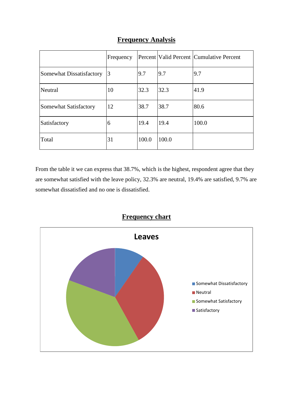|                          | Frequency |       |       | Percent Valid Percent Cumulative Percent |
|--------------------------|-----------|-------|-------|------------------------------------------|
| Somewhat Dissatisfactory | 13        | 9.7   | 9.7   | 9.7                                      |
| Neutral                  | 10        | 32.3  | 32.3  | 41.9                                     |
| Somewhat Satisfactory    | 12        | 38.7  | 38.7  | 80.6                                     |
| Satisfactory             | 6         | 19.4  | 19.4  | 100.0                                    |
| Total                    | 31        | 100.0 | 100.0 |                                          |

## **Frequency Analysis**

From the table it we can express that 38.7%, which is the highest, respondent agree that they are somewhat satisfied with the leave policy, 32.3% are neutral, 19.4% are satisfied, 9.7% are somewhat dissatisfied and no one is dissatisfied.



## **Frequency chart**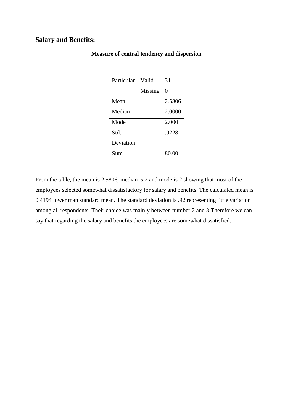#### **Salary and Benefits:**

| Particular | Valid   | 31     |
|------------|---------|--------|
|            | Missing | 0      |
| Mean       |         | 2.5806 |
| Median     |         | 2.0000 |
| Mode       |         | 2.000  |
| Std.       |         | .9228  |
| Deviation  |         |        |
| Sum        |         | 80.00  |

#### **Measure of central tendency and dispersion**

From the table, the mean is 2.5806, median is 2 and mode is 2 showing that most of the employees selected somewhat dissatisfactory for salary and benefits. The calculated mean is 0.4194 lower man standard mean. The standard deviation is .92 representing little variation among all respondents. Their choice was mainly between number 2 and 3.Therefore we can say that regarding the salary and benefits the employees are somewhat dissatisfied.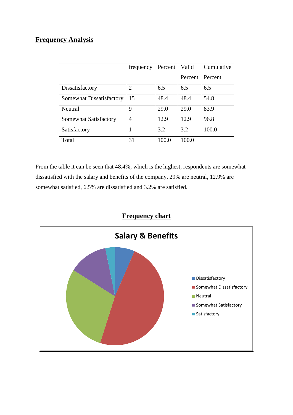## **Frequency Analysis**

|                          | frequency      | Percent | Valid   | Cumulative |
|--------------------------|----------------|---------|---------|------------|
|                          |                |         | Percent | Percent    |
| Dissatisfactory          | $\overline{2}$ | 6.5     | 6.5     | 6.5        |
| Somewhat Dissatisfactory | 15             | 48.4    | 48.4    | 54.8       |
| Neutral                  | 9              | 29.0    | 29.0    | 83.9       |
| Somewhat Satisfactory    | 4              | 12.9    | 12.9    | 96.8       |
| Satisfactory             |                | 3.2     | 3.2     | 100.0      |
| Total                    | 31             | 100.0   | 100.0   |            |

From the table it can be seen that 48.4%, which is the highest, respondents are somewhat dissatisfied with the salary and benefits of the company, 29% are neutral, 12.9% are somewhat satisfied, 6.5% are dissatisfied and 3.2% are satisfied.



## **Frequency chart**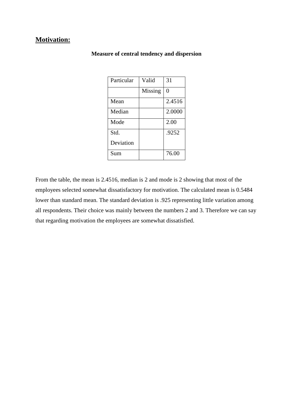### **Motivation:**

| Particular | Valid   | 31     |
|------------|---------|--------|
|            | Missing | 0      |
| Mean       |         | 2.4516 |
| Median     |         | 2.0000 |
| Mode       |         | 2.00   |
| Std.       |         | .9252  |
| Deviation  |         |        |
| Sum        |         | 76.00  |

#### **Measure of central tendency and dispersion**

From the table, the mean is 2.4516, median is 2 and mode is 2 showing that most of the employees selected somewhat dissatisfactory for motivation. The calculated mean is 0.5484 lower than standard mean. The standard deviation is .925 representing little variation among all respondents. Their choice was mainly between the numbers 2 and 3. Therefore we can say that regarding motivation the employees are somewhat dissatisfied.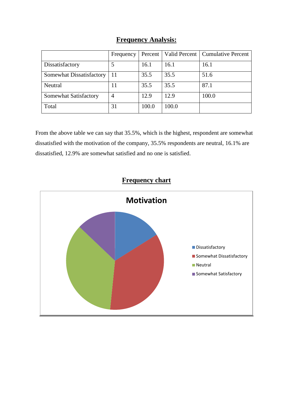| <b>Frequency Analysis:</b> |  |
|----------------------------|--|
|                            |  |

|                          | Frequency | Percent | Valid Percent | <b>Cumulative Percent</b> |
|--------------------------|-----------|---------|---------------|---------------------------|
| Dissatisfactory          |           | 16.1    | 16.1          | 16.1                      |
| Somewhat Dissatisfactory | 11        | 35.5    | 35.5          | 51.6                      |
| Neutral                  | 11        | 35.5    | 35.5          | 87.1                      |
| Somewhat Satisfactory    | 4         | 12.9    | 12.9          | 100.0                     |
| Total                    | 31        | 100.0   | 100.0         |                           |

From the above table we can say that 35.5%, which is the highest, respondent are somewhat dissatisfied with the motivation of the company, 35.5% respondents are neutral, 16.1% are dissatisfied, 12.9% are somewhat satisfied and no one is satisfied.

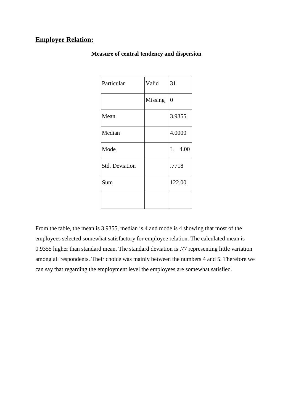### **Employee Relation:**

| Particular     | Valid   | 31             |
|----------------|---------|----------------|
|                | Missing | $\overline{0}$ |
| Mean           |         | 3.9355         |
| Median         |         | 4.0000         |
| Mode           |         | $L$ 4.00       |
| 5td. Deviation |         | .7718          |
| Sum            |         | 122.00         |
|                |         |                |

**Measure of central tendency and dispersion**

From the table, the mean is 3.9355, median is 4 and mode is 4 showing that most of the employees selected somewhat satisfactory for employee relation. The calculated mean is 0.9355 higher than standard mean. The standard deviation is .77 representing little variation among all respondents. Their choice was mainly between the numbers 4 and 5. Therefore we can say that regarding the employment level the employees are somewhat satisfied.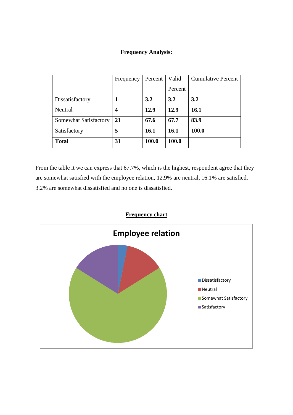## **Frequency Analysis:**

|                       | Frequency | Percent | Valid       | <b>Cumulative Percent</b> |
|-----------------------|-----------|---------|-------------|---------------------------|
|                       |           |         | Percent     |                           |
| Dissatisfactory       |           | 3.2     | 3.2         | 3.2                       |
| Neutral               | 4         | 12.9    | 12.9        | <b>16.1</b>               |
| Somewhat Satisfactory | 21        | 67.6    | 67.7        | 83.9                      |
| Satisfactory          | 5         | 16.1    | <b>16.1</b> | 100.0                     |
| <b>Total</b>          | 31        | 100.0   | 100.0       |                           |

From the table it we can express that 67.7%, which is the highest, respondent agree that they are somewhat satisfied with the employee relation, 12.9% are neutral, 16.1% are satisfied, 3.2% are somewhat dissatisfied and no one is dissatisfied.

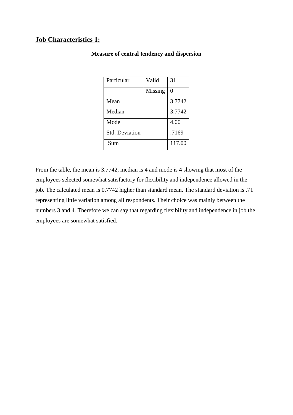### **Job Characteristics 1:**

| Particular            | Valid   | 31     |
|-----------------------|---------|--------|
|                       | Missing | 0      |
| Mean                  |         | 3.7742 |
| Median                |         | 3.7742 |
| Mode                  |         | 4.00   |
| <b>Std. Deviation</b> |         | .7169  |
| Sum                   |         | 117.00 |

#### **Measure of central tendency and dispersion**

From the table, the mean is 3.7742, median is 4 and mode is 4 showing that most of the employees selected somewhat satisfactory for flexibility and independence allowed in the job. The calculated mean is 0.7742 higher than standard mean. The standard deviation is .71 representing little variation among all respondents. Their choice was mainly between the numbers 3 and 4. Therefore we can say that regarding flexibility and independence in job the employees are somewhat satisfied.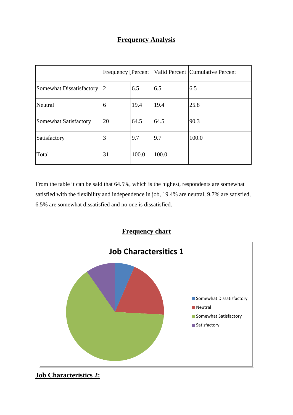## **Frequency Analysis**

|                          | Frequency [Percent] |       |       | Valid Percent Cumulative Percent |
|--------------------------|---------------------|-------|-------|----------------------------------|
| Somewhat Dissatisfactory | 2                   | 6.5   | 6.5   | 6.5                              |
| Neutral                  | 6                   | 19.4  | 19.4  | 25.8                             |
| Somewhat Satisfactory    | 20                  | 64.5  | 64.5  | 90.3                             |
| Satisfactory             | 3                   | 9.7   | 9.7   | 100.0                            |
| Total                    | 31                  | 100.0 | 100.0 |                                  |

From the table it can be said that 64.5%, which is the highest, respondents are somewhat satisfied with the flexibility and independence in job, 19.4% are neutral, 9.7% are satisfied, 6.5% are somewhat dissatisfied and no one is dissatisfied.



**Job Characteristics 2:**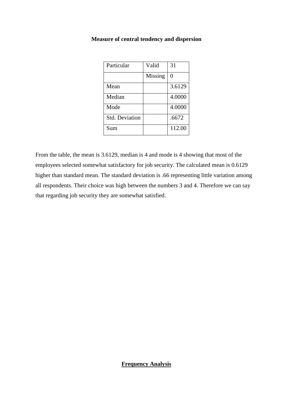| Particular            | Valid   | 31     |
|-----------------------|---------|--------|
|                       | Missing | 0      |
| Mean                  |         | 3.6129 |
| Median                |         | 4.0000 |
| Mode                  |         | 4.0000 |
| <b>Std. Deviation</b> |         | .6672  |
| Sum                   |         | 112.00 |

#### **Measure of central tendency and dispersion**

From the table, the mean is 3.6129, median is 4 and mode is 4 showing that most of the employees selected somewhat satisfactory for job security. The calculated mean is 0.6129 higher than standard mean. The standard deviation is .66 representing little variation among all respondents. Their choice was high between the numbers 3 and 4. Therefore we can say that regarding job security they are somewhat satisfied.

#### **Frequency Analysis**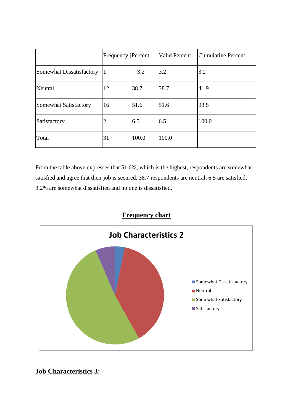|                          | <b>Frequency [Percent</b> |       | <b>Valid Percent</b> | Cumulative Percent |
|--------------------------|---------------------------|-------|----------------------|--------------------|
| Somewhat Dissatisfactory |                           | 3.2   | 3.2                  | 3.2                |
| Neutral                  | 12                        | 38.7  | 38.7                 | 41.9               |
| Somewhat Satisfactory    | 16                        | 51.6  | 51.6                 | 93.5               |
| Satisfactory             | 2                         | 6.5   | 6.5                  | 100.0              |
| Total                    | 31                        | 100.0 | 100.0                |                    |

From the table above expresses that 51.6%, which is the highest, respondents are somewhat satisfied and agree that their job is secured, 38.7 respondents are neutral, 6.5 are satisfied, 3.2% are somewhat dissatisfied and no one is dissatisfied.

## **Frequency chart**



**Job Characteristics 3:**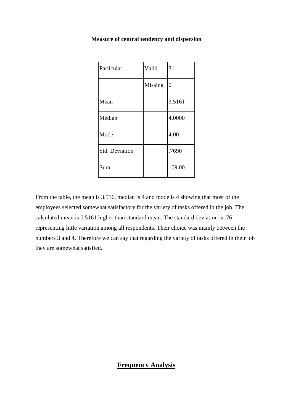| Particular            | Valid   | 31             |
|-----------------------|---------|----------------|
|                       | Missing | $\overline{0}$ |
| Mean                  |         | 3.5161         |
| Median                |         | 4.0000         |
| Mode                  |         | 4.00           |
| <b>Std. Deviation</b> |         | .7690          |
| Sum                   |         | 109.00         |

#### **Measure of central tendency and dispersion**

From the table, the mean is 3.516, median is 4 and mode is 4 showing that most of the employees selected somewhat satisfactory for the variety of tasks offered in the job. The calculated mean is 0.5161 higher than standard mean. The standard deviation is .76 representing little variation among all respondents. Their choice was mainly between the numbers 3 and 4. Therefore we can say that regarding the variety of tasks offered in their job they are somewhat satisfied.

### **Frequency Analysis**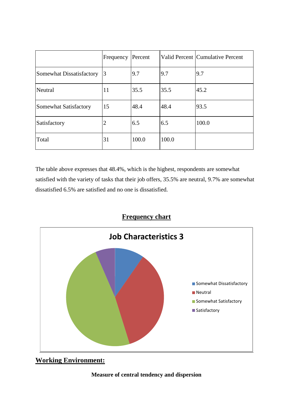|                          | Frequency | Percent |       | Valid Percent   Cumulative Percent |
|--------------------------|-----------|---------|-------|------------------------------------|
| Somewhat Dissatisfactory | 3         | 9.7     | 9.7   | 9.7                                |
| Neutral                  | 11        | 35.5    | 35.5  | 45.2                               |
| Somewhat Satisfactory    | 15        | 48.4    | 48.4  | 93.5                               |
| Satisfactory             | 2         | 6.5     | 6.5   | 100.0                              |
| Total                    | 31        | 100.0   | 100.0 |                                    |

The table above expresses that 48.4%, which is the highest, respondents are somewhat satisfied with the variety of tasks that their job offers, 35.5% are neutral, 9.7% are somewhat dissatisfied 6.5% are satisfied and no one is dissatisfied.





**Working Environment:**

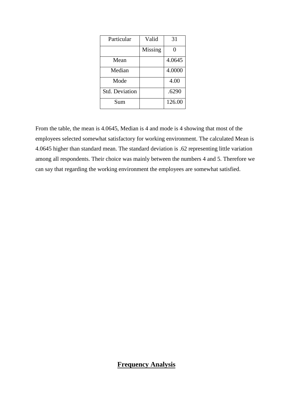| Particular            | Valid   | 31     |
|-----------------------|---------|--------|
|                       | Missing | 0      |
| Mean                  |         | 4.0645 |
| Median                |         | 4.0000 |
| Mode                  |         | 4.00   |
| <b>Std. Deviation</b> |         | .6290  |
| Sum                   |         | 126.00 |

From the table, the mean is 4.0645, Median is 4 and mode is 4 showing that most of the employees selected somewhat satisfactory for working environment. The calculated Mean is 4.0645 higher than standard mean. The standard deviation is .62 representing little variation among all respondents. Their choice was mainly between the numbers 4 and 5. Therefore we can say that regarding the working environment the employees are somewhat satisfied.

### **Frequency Analysis**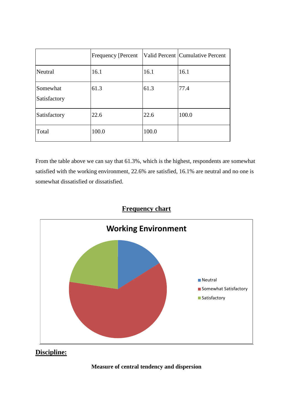|                          | <b>Frequency [Percent</b> ] |       | Valid Percent Cumulative Percent |
|--------------------------|-----------------------------|-------|----------------------------------|
| Neutral                  | 16.1                        | 16.1  | 16.1                             |
| Somewhat<br>Satisfactory | 61.3                        | 61.3  | 77.4                             |
| Satisfactory             | 22.6                        | 22.6  | 100.0                            |
| Total                    | 100.0                       | 100.0 |                                  |

From the table above we can say that 61.3%, which is the highest, respondents are somewhat satisfied with the working environment, 22.6% are satisfied, 16.1% are neutral and no one is somewhat dissatisfied or dissatisfied.





**Discipline:**

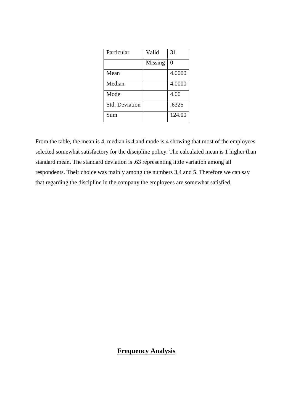| Particular            | Valid   | 31     |
|-----------------------|---------|--------|
|                       | Missing | 0      |
| Mean                  |         | 4.0000 |
| Median                |         | 4.0000 |
| Mode                  |         | 4.00   |
| <b>Std. Deviation</b> |         | .6325  |
| Sum                   |         | 124.00 |

From the table, the mean is 4, median is 4 and mode is 4 showing that most of the employees selected somewhat satisfactory for the discipline policy. The calculated mean is 1 higher than standard mean. The standard deviation is .63 representing little variation among all respondents. Their choice was mainly among the numbers 3,4 and 5. Therefore we can say that regarding the discipline in the company the employees are somewhat satisfied.

## **Frequency Analysis**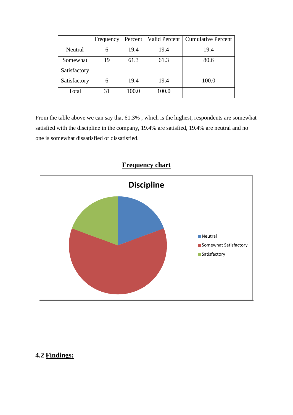|              | Frequency | Percent |       | Valid Percent   Cumulative Percent |
|--------------|-----------|---------|-------|------------------------------------|
| Neutral      | 6         | 19.4    | 19.4  | 19.4                               |
| Somewhat     | 19        | 61.3    | 61.3  | 80.6                               |
| Satisfactory |           |         |       |                                    |
| Satisfactory | 6         | 19.4    | 19.4  | 100.0                              |
| Total        | 31        | 100.0   | 100.0 |                                    |

From the table above we can say that 61.3% , which is the highest, respondents are somewhat satisfied with the discipline in the company, 19.4% are satisfied, 19.4% are neutral and no one is somewhat dissatisfied or dissatisfied.



# **4.2 Findings:**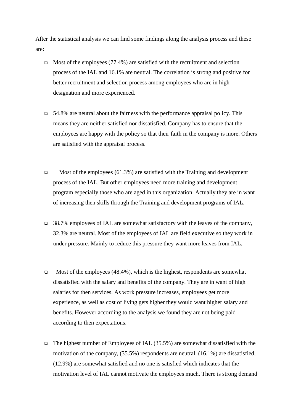After the statistical analysis we can find some findings along the analysis process and these are:

- $\Box$  Most of the employees (77.4%) are satisfied with the recruitment and selection process of the IAL and 16.1% are neutral. The correlation is strong and positive for better recruitment and selection process among employees who are in high designation and more experienced.
- $\Box$  54.8% are neutral about the fairness with the performance appraisal policy. This means they are neither satisfied nor dissatisfied. Company has to ensure that the employees are happy with the policy so that their faith in the company is more. Others are satisfied with the appraisal process.
- $\Box$  Most of the employees (61.3%) are satisfied with the Training and development process of the IAL. But other employees need more training and development program especially those who are aged in this organization. Actually they are in want of increasing then skills through the Training and development programs of IAL.
- 38.7% employees of IAL are somewhat satisfactory with the leaves of the company, 32.3% are neutral. Most of the employees of IAL are field executive so they work in under pressure. Mainly to reduce this pressure they want more leaves from IAL.
- $\Box$  Most of the employees (48.4%), which is the highest, respondents are somewhat dissatisfied with the salary and benefits of the company. They are in want of high salaries for then services. As work pressure increases, employees get more experience, as well as cost of living gets higher they would want higher salary and benefits. However according to the analysis we found they are not being paid according to then expectations.
- $\Box$  The highest number of Employees of IAL (35.5%) are somewhat dissatisfied with the motivation of the company, (35.5%) respondents are neutral, (16.1%) are dissatisfied, (12.9%) are somewhat satisfied and no one is satisfied which indicates that the motivation level of IAL cannot motivate the employees much. There is strong demand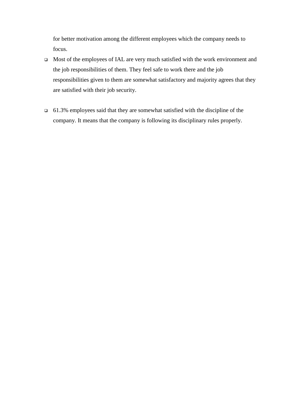for better motivation among the different employees which the company needs to focus.

- Most of the employees of IAL are very much satisfied with the work environment and the job responsibilities of them. They feel safe to work there and the job responsibilities given to them are somewhat satisfactory and majority agrees that they are satisfied with their job security.
- $\Box$  61.3% employees said that they are somewhat satisfied with the discipline of the company. It means that the company is following its disciplinary rules properly.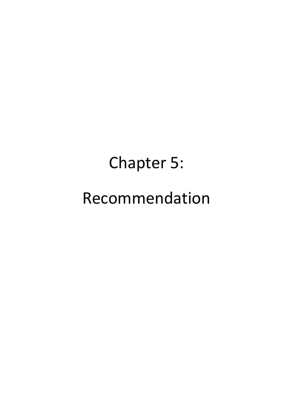# Chapter 5: Recommendation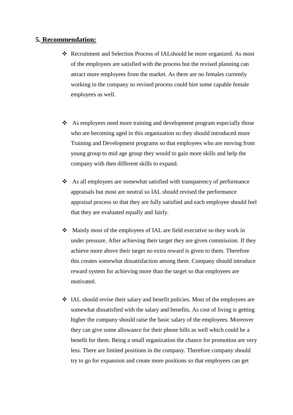#### **5. Recommendation:**

- Recruitment and Selection Process of IALshould be more organized. As most of the employees are satisfied with the process but the revised planning can attract more employees from the market. As there are no females currently working in the company so revised process could hire some capable female employees as well.
- $\triangle$  As employees need more training and development program especially those who are becoming aged in this organization so they should introduced more Training and Development programs so that employees who are moving from young group to mid age group they would to gain more skills and help the company with then different skills to expand.
- As all employees are somewhat satisfied with transparency of performance appraisals but most are neutral so IAL should revised the performance appraisal process so that they are fully satisfied and each employee should feel that they are evaluated equally and fairly.
- Mainly most of the employees of IAL are field executive so they work in under pressure. After achieving their target they are given commission. If they achieve more above their target no extra reward is given to them. Therefore this creates somewhat dissatisfaction among them. Company should introduce reward system for achieving more than the target so that employees are motivated.
- IAL should revise their salary and benefit policies. Most of the employees are somewhat dissatisfied with the salary and benefits. As cost of living is getting higher the company should raise the basic salary of the employees. Moreover they can give some allowance for their phone bills as well which could be a benefit for them. Being a small organization the chance for promotion are very less. There are limited positions in the company. Therefore company should try to go for expansion and create more positions so that employees can get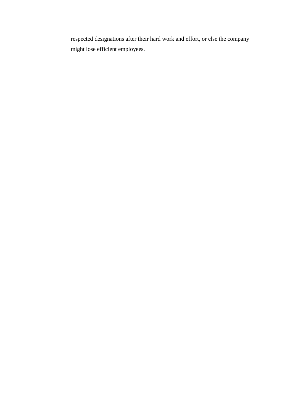respected designations after their hard work and effort, or else the company might lose efficient employees.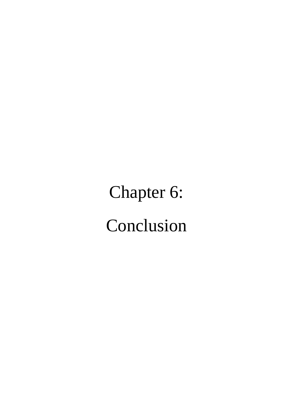Chapter 6: Conclusion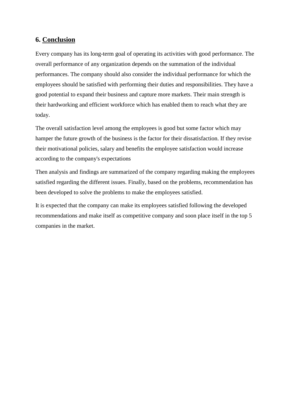### **6. Conclusion**

Every company has its long-term goal of operating its activities with good performance. The overall performance of any organization depends on the summation of the individual performances. The company should also consider the individual performance for which the employees should be satisfied with performing their duties and responsibilities. They have a good potential to expand their business and capture more markets. Their main strength is their hardworking and efficient workforce which has enabled them to reach what they are today.

The overall satisfaction level among the employees is good but some factor which may hamper the future growth of the business is the factor for their dissatisfaction. If they revise their motivational policies, salary and benefits the employee satisfaction would increase according to the company's expectations

Then analysis and findings are summarized of the company regarding making the employees satisfied regarding the different issues. Finally, based on the problems, recommendation has been developed to solve the problems to make the employees satisfied.

It is expected that the company can make its employees satisfied following the developed recommendations and make itself as competitive company and soon place itself in the top 5 companies in the market.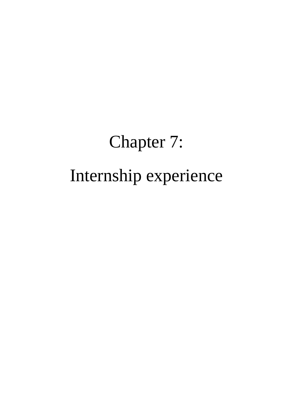# Chapter 7: Internship experience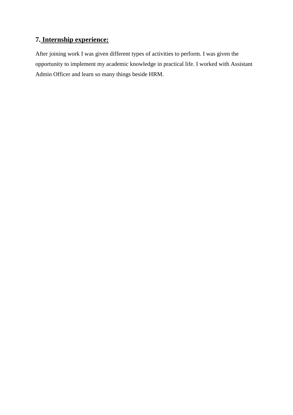## **7. Internship experience:**

After joining work I was given different types of activities to perform. I was given the opportunity to implement my academic knowledge in practical life. I worked with Assistant Admin Officer and learn so many things beside HRM.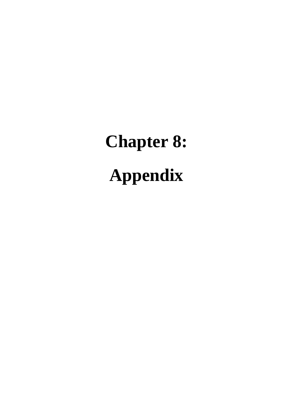# **Chapter 8: Appendix**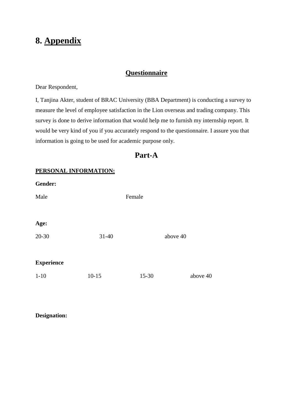# **8. Appendix**

### **Questionnaire**

Dear Respondent,

I, Tanjina Akter, student of BRAC University (BBA Department) is conducting a survey to measure the level of employee satisfaction in the Lion overseas and trading company. This survey is done to derive information that would help me to furnish my internship report. It would be very kind of you if you accurately respond to the questionnaire. I assure you that information is going to be used for academic purpose only.

# **Part-A**

#### **PERSONAL INFORMATION:**

| Gender:           |           |           |          |          |
|-------------------|-----------|-----------|----------|----------|
| Male              |           | Female    |          |          |
|                   |           |           |          |          |
| Age:              |           |           |          |          |
| $20 - 30$         | $31 - 40$ |           | above 40 |          |
|                   |           |           |          |          |
| <b>Experience</b> |           |           |          |          |
| $1 - 10$          | $10 - 15$ | $15 - 30$ |          | above 40 |

**Designation:**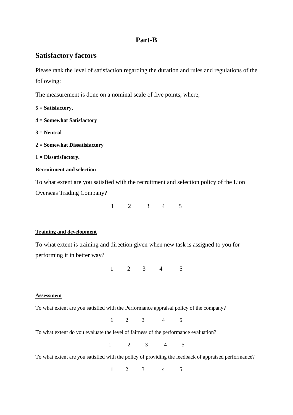# **Part-B**

## **Satisfactory factors**

Please rank the level of satisfaction regarding the duration and rules and regulations of the following:

The measurement is done on a nominal scale of five points, where,

**5 = Satisfactory,**

- **4 = Somewhat Satisfactory**
- **3 = Neutral**
- **2 = Somewhat Dissatisfactory**

```
1 = Dissatisfactory.
```
#### **Recruitment and selection**

To what extent are you satisfied with the recruitment and selection policy of the Lion Overseas Trading Company?

1 2 3 4 5

#### **Training and development**

To what extent is training and direction given when new task is assigned to you for performing it in better way?

1 2 3 4 5

#### **Assessment**

To what extent are you satisfied with the Performance appraisal policy of the company?

1 2 3 4 5

To what extent do you evaluate the level of fairness of the performance evaluation?

1 2 3 4 5

To what extent are you satisfied with the policy of providing the feedback of appraised performance?

1 2 3 4 5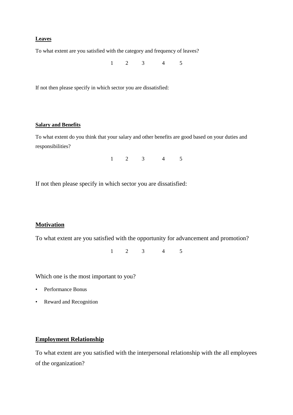#### **Leaves**

To what extent are you satisfied with the category and frequency of leaves?

1 2 3 4 5

If not then please specify in which sector you are dissatisfied:

#### **Salary and Benefits**

To what extent do you think that your salary and other benefits are good based on your duties and responsibilities?

1 2 3 4 5

If not then please specify in which sector you are dissatisfied:

#### **Motivation**

To what extent are you satisfied with the opportunity for advancement and promotion?

1 2 3 4 5

Which one is the most important to you?

- Performance Bonus
- Reward and Recognition

#### **Employment Relationship**

To what extent are you satisfied with the interpersonal relationship with the all employees of the organization?